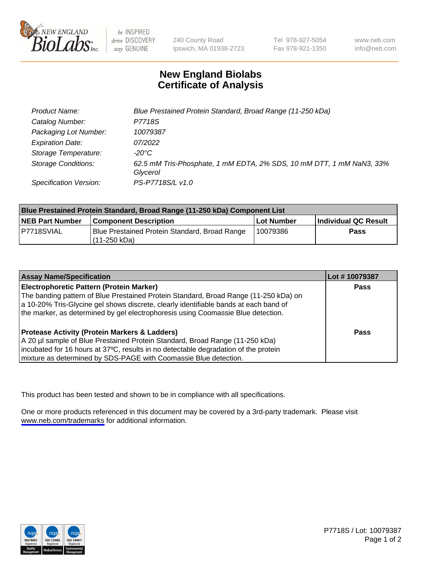

be INSPIRED drive DISCOVERY stay GENUINE

240 County Road Ipswich, MA 01938-2723 Tel 978-927-5054 Fax 978-921-1350

www.neb.com info@neb.com

## **New England Biolabs Certificate of Analysis**

| <b>Product Name:</b>       | Blue Prestained Protein Standard, Broad Range (11-250 kDa)                       |
|----------------------------|----------------------------------------------------------------------------------|
| Catalog Number:            | P7718S                                                                           |
| Packaging Lot Number:      | 10079387                                                                         |
| <b>Expiration Date:</b>    | 07/2022                                                                          |
| Storage Temperature:       | -20°C                                                                            |
| <b>Storage Conditions:</b> | 62.5 mM Tris-Phosphate, 1 mM EDTA, 2% SDS, 10 mM DTT, 1 mM NaN3, 33%<br>Glycerol |
| Specification Version:     | PS-P7718S/L v1.0                                                                 |

| <b>Blue Prestained Protein Standard, Broad Range (11-250 kDa) Component List</b> |                                                                 |              |                      |  |
|----------------------------------------------------------------------------------|-----------------------------------------------------------------|--------------|----------------------|--|
| <b>NEB Part Number</b>                                                           | <b>Component Description</b>                                    | l Lot Number | Individual QC Result |  |
| P7718SVIAL                                                                       | Blue Prestained Protein Standard, Broad Range<br>l (11-250 kDa) | 10079386     | <b>Pass</b>          |  |

| <b>Assay Name/Specification</b>                                                      | Lot #10079387 |
|--------------------------------------------------------------------------------------|---------------|
| <b>Electrophoretic Pattern (Protein Marker)</b>                                      | <b>Pass</b>   |
| The banding pattern of Blue Prestained Protein Standard, Broad Range (11-250 kDa) on |               |
| a 10-20% Tris-Glycine gel shows discrete, clearly identifiable bands at each band of |               |
| the marker, as determined by gel electrophoresis using Coomassie Blue detection.     |               |
|                                                                                      |               |
| <b>Protease Activity (Protein Markers &amp; Ladders)</b>                             | <b>Pass</b>   |
| A 20 µl sample of Blue Prestained Protein Standard, Broad Range (11-250 kDa)         |               |
| incubated for 16 hours at 37°C, results in no detectable degradation of the protein  |               |
| mixture as determined by SDS-PAGE with Coomassie Blue detection.                     |               |

This product has been tested and shown to be in compliance with all specifications.

One or more products referenced in this document may be covered by a 3rd-party trademark. Please visit <www.neb.com/trademarks>for additional information.